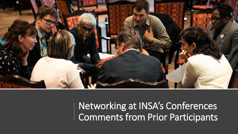

Networking at INSA's Conferences Comments from Prior Participants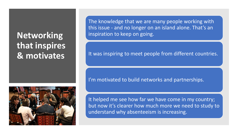# **Networking that inspires & motivates**



The knowledge that we are many people working with this issue - and no longer on an island alone. That's an inspiration to keep on going.

It was inspiring to meet people from different countries.

I'm motivated to build networks and partnerships.

It helped me see how far we have come in my country; but now it's clearer how much more we need to study to understand why absenteeism is increasing.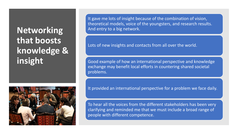# **Networking that boosts knowledge & insight**



It gave me lots of insight because of the combination of vision, theoretical models, voice of the youngsters, and research results. And entry to a big network.

Lots of new insights and contacts from all over the world.

Good example of how an international perspective and knowledge exchange may benefit local efforts in countering shared societal problems.

It provided an international perspective for a problem we face daily.

To hear all the voices from the different stakeholders has been very clarifying and reminded me that we must include a broad range of people with different competence.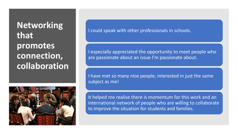## **Networking that promotes connection, collaboration**



I could speak with other professionals in schools.

I especially appreciated the opportunity to meet people who are passionate about an issue I'm passionate about.

I have met so many nice people, interested in just the same subject as me!

It helped me realise there is momentum for this work and an international network of people who are willing to collaborate to improve the situation for students and families.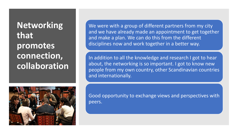**Networking that promotes connection, collaboration**



We were with a group of different partners from my city and we have already made an appointment to get together and make a plan. We can do this from the different disciplines now and work together in a better way.

In addition to all the knowledge and research I got to hear about, the networking is so important. I got to know new people from my own country, other Scandinavian countries and internationally.

Good opportunity to exchange views and perspectives with peers.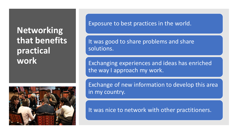## **Networking that benefits practical work**



Exposure to best practices in the world.

It was good to share problems and share solutions.

Exchanging experiences and ideas has enriched the way I approach my work.

Exchange of new information to develop this area in my country.

It was nice to network with other practitioners.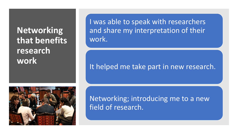## **Networking that benefits research work**

I was able to speak with researchers and share my interpretation of their work.

#### It helped me take part in new research.



Networking; introducing me to a new field of research.